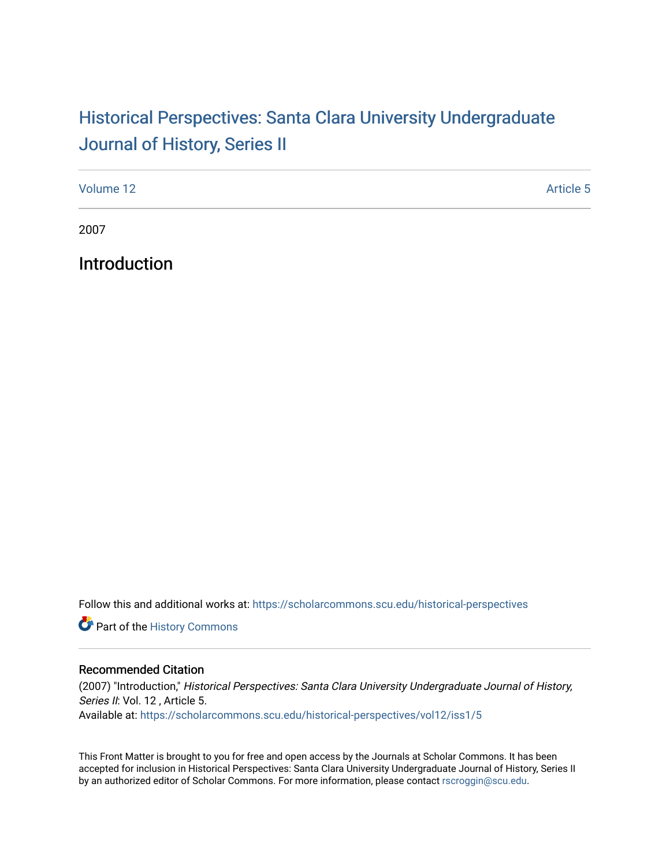## Historical Perspectiv[es: Santa Clara University Under](https://scholarcommons.scu.edu/historical-perspectives)graduate [Journal of History, Series II](https://scholarcommons.scu.edu/historical-perspectives)

| Volume 12 | <b>Article 5</b> |
|-----------|------------------|
|           |                  |

2007

Introduction

Follow this and additional works at: [https://scholarcommons.scu.edu/historical-perspectives](https://scholarcommons.scu.edu/historical-perspectives?utm_source=scholarcommons.scu.edu%2Fhistorical-perspectives%2Fvol12%2Fiss1%2F5&utm_medium=PDF&utm_campaign=PDFCoverPages) 

Part of the [History Commons](http://network.bepress.com/hgg/discipline/489?utm_source=scholarcommons.scu.edu%2Fhistorical-perspectives%2Fvol12%2Fiss1%2F5&utm_medium=PDF&utm_campaign=PDFCoverPages) 

## Recommended Citation

(2007) "Introduction," Historical Perspectives: Santa Clara University Undergraduate Journal of History, Series II: Vol. 12, Article 5. Available at: [https://scholarcommons.scu.edu/historical-perspectives/vol12/iss1/5](https://scholarcommons.scu.edu/historical-perspectives/vol12/iss1/5?utm_source=scholarcommons.scu.edu%2Fhistorical-perspectives%2Fvol12%2Fiss1%2F5&utm_medium=PDF&utm_campaign=PDFCoverPages) 

This Front Matter is brought to you for free and open access by the Journals at Scholar Commons. It has been accepted for inclusion in Historical Perspectives: Santa Clara University Undergraduate Journal of History, Series II by an authorized editor of Scholar Commons. For more information, please contact [rscroggin@scu.edu.](mailto:rscroggin@scu.edu)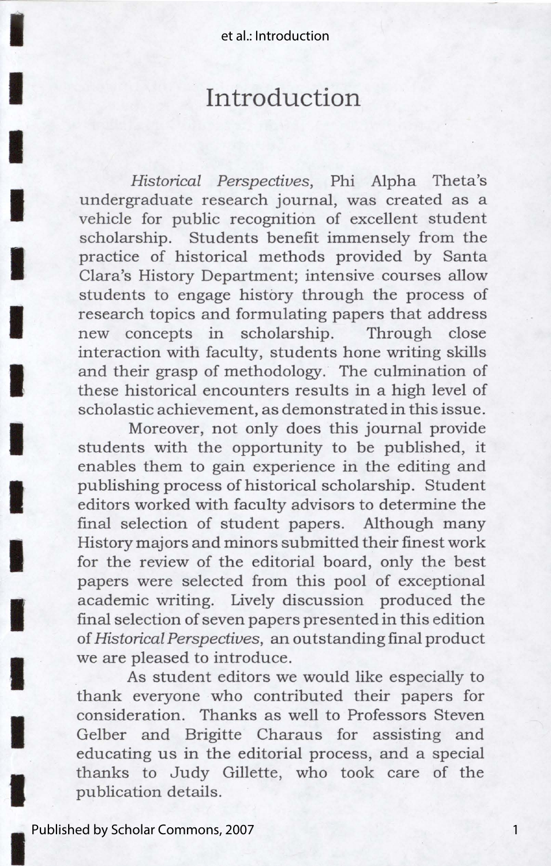I

I

I

I

I

I

I

I

I

**I** 

I

I

I

I

## **Introduction**

*Historical Perspectives,* Phi Alpha Theta's undergraduate research journal, was created as a vehicle for public recognition of excellent student scholarship. Students benefit immensely from the practice of historical methods provided by Santa Clara's History Department; intensive courses allow students to engage history through the process of research topics and formulating papers that address new concepts in scholarship. Through close interaction with faculty, students hone writing skills and their grasp of methodology. The culmination of these historical encounters results in a high level of scholastic achievement, as demonstrated in this issue.

Moreover, not only does this journal provide students with the opportunity to be published, it enables them to gain experience in the editing and publishing process of historical scholarship. Student editors worked with faculty advisors to determine the final selection of student papers. Although many History majors and minors submitted their finest work for the review of the editorial board, only the best papers were selected from this pool of exceptional academic writing. Lively discussion produced the final selection of seven papers presented in this edition of *Historical Perspectives,* an outstanding final product we are pleased to introduce.

As student editors we would like especially to thank everyone who contributed their papers for consideration. Thanks as well to Professors Steven Gelber and Brigitte Charaus for assisting and educating us in the editorial process, and a special thanks to Judy Gillette, who took care of the publication details.

1